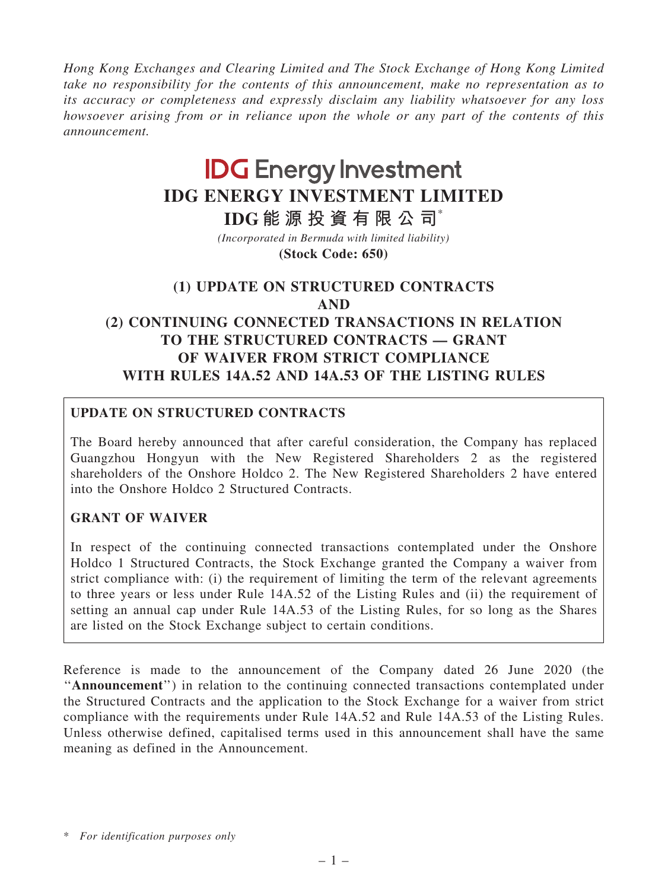*Hong Kong Exchanges and Clearing Limited and The Stock Exchange of Hong Kong Limited take no responsibility for the contents of this announcement, make no representation as to its accuracy or completeness and expressly disclaim any liability whatsoever for any loss howsoever arising from or in reliance upon the whole or any part of the contents of this announcement.*

# **IDG Energy Investment IDG ENERGY INVESTMENT LIMITED**

**IDG 能 源 投 資 有 限 公 司**\*

**(Stock Code: 650)** *(Incorporated in Bermuda with limited liability)*

# (1) UPDATE ON STRUCTURED CONTRACTS AND (2) CONTINUING CONNECTED TRANSACTIONS IN RELATION TO THE STRUCTURED CONTRACTS — GRANT OF WAIVER FROM STRICT COMPLIANCE WITH RULES 14A.52 AND 14A.53 OF THE LISTING RULES

# UPDATE ON STRUCTURED CONTRACTS

The Board hereby announced that after careful consideration, the Company has replaced Guangzhou Hongyun with the New Registered Shareholders 2 as the registered shareholders of the Onshore Holdco 2. The New Registered Shareholders 2 have entered into the Onshore Holdco 2 Structured Contracts.

# GRANT OF WAIVER

In respect of the continuing connected transactions contemplated under the Onshore Holdco 1 Structured Contracts, the Stock Exchange granted the Company a waiver from strict compliance with: (i) the requirement of limiting the term of the relevant agreements to three years or less under Rule 14A.52 of the Listing Rules and (ii) the requirement of setting an annual cap under Rule 14A.53 of the Listing Rules, for so long as the Shares are listed on the Stock Exchange subject to certain conditions.

Reference is made to the announcement of the Company dated 26 June 2020 (the "Announcement") in relation to the continuing connected transactions contemplated under the Structured Contracts and the application to the Stock Exchange for a waiver from strict compliance with the requirements under Rule 14A.52 and Rule 14A.53 of the Listing Rules. Unless otherwise defined, capitalised terms used in this announcement shall have the same meaning as defined in the Announcement.

<sup>\*</sup> *For identification purposes only*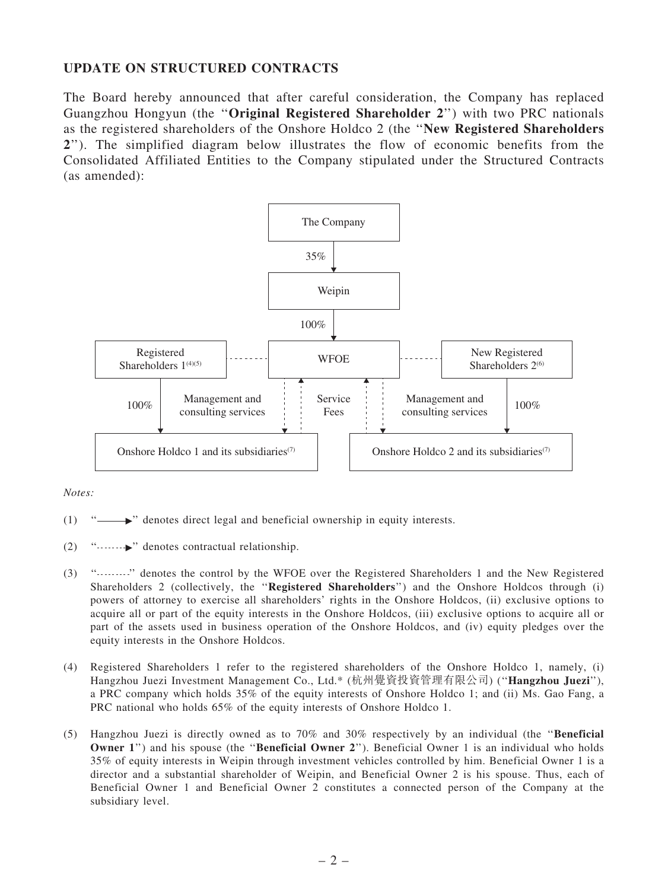#### UPDATE ON STRUCTURED CONTRACTS

The Board hereby announced that after careful consideration, the Company has replaced Guangzhou Hongyun (the ''Original Registered Shareholder 2'') with two PRC nationals as the registered shareholders of the Onshore Holdco 2 (the ''New Registered Shareholders 2''). The simplified diagram below illustrates the flow of economic benefits from the Consolidated Affiliated Entities to the Company stipulated under the Structured Contracts (as amended):



*Notes:*

- (1)  $\dddot{\,}$  '' denotes direct legal and beneficial ownership in equity interests.
- (2)  $"$   $"$   $"$  denotes contractual relationship.
- (3) '' '' denotes the control by the WFOE over the Registered Shareholders 1 and the New Registered Shareholders 2 (collectively, the "Registered Shareholders") and the Onshore Holdcos through (i) powers of attorney to exercise all shareholders' rights in the Onshore Holdcos, (ii) exclusive options to acquire all or part of the equity interests in the Onshore Holdcos, (iii) exclusive options to acquire all or part of the assets used in business operation of the Onshore Holdcos, and (iv) equity pledges over the equity interests in the Onshore Holdcos.
- (4) Registered Shareholders 1 refer to the registered shareholders of the Onshore Holdco 1, namely, (i) Hangzhou Juezi Investment Management Co., Ltd.\* (杭州覺資投資管理有限公司) (''Hangzhou Juezi''), a PRC company which holds 35% of the equity interests of Onshore Holdco 1; and (ii) Ms. Gao Fang, a PRC national who holds 65% of the equity interests of Onshore Holdco 1.
- (5) Hangzhou Juezi is directly owned as to 70% and 30% respectively by an individual (the ''Beneficial Owner 1") and his spouse (the "Beneficial Owner 2"). Beneficial Owner 1 is an individual who holds 35% of equity interests in Weipin through investment vehicles controlled by him. Beneficial Owner 1 is a director and a substantial shareholder of Weipin, and Beneficial Owner 2 is his spouse. Thus, each of Beneficial Owner 1 and Beneficial Owner 2 constitutes a connected person of the Company at the subsidiary level.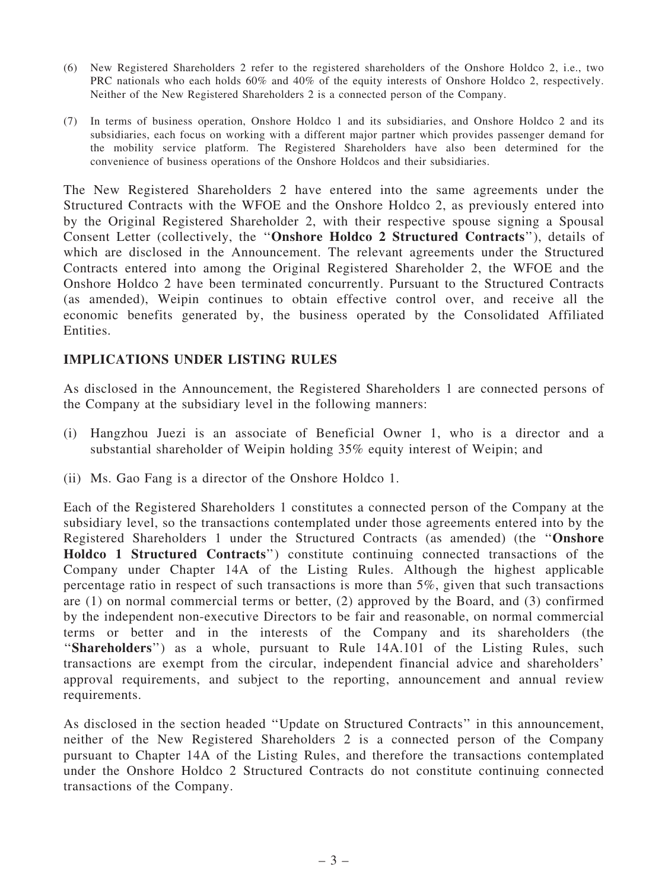- (6) New Registered Shareholders 2 refer to the registered shareholders of the Onshore Holdco 2, i.e., two PRC nationals who each holds 60% and 40% of the equity interests of Onshore Holdco 2, respectively. Neither of the New Registered Shareholders 2 is a connected person of the Company.
- (7) In terms of business operation, Onshore Holdco 1 and its subsidiaries, and Onshore Holdco 2 and its subsidiaries, each focus on working with a different major partner which provides passenger demand for the mobility service platform. The Registered Shareholders have also been determined for the convenience of business operations of the Onshore Holdcos and their subsidiaries.

The New Registered Shareholders 2 have entered into the same agreements under the Structured Contracts with the WFOE and the Onshore Holdco 2, as previously entered into by the Original Registered Shareholder 2, with their respective spouse signing a Spousal Consent Letter (collectively, the ''Onshore Holdco 2 Structured Contracts''), details of which are disclosed in the Announcement. The relevant agreements under the Structured Contracts entered into among the Original Registered Shareholder 2, the WFOE and the Onshore Holdco 2 have been terminated concurrently. Pursuant to the Structured Contracts (as amended), Weipin continues to obtain effective control over, and receive all the economic benefits generated by, the business operated by the Consolidated Affiliated Entities.

#### IMPLICATIONS UNDER LISTING RULES

As disclosed in the Announcement, the Registered Shareholders 1 are connected persons of the Company at the subsidiary level in the following manners:

- (i) Hangzhou Juezi is an associate of Beneficial Owner 1, who is a director and a substantial shareholder of Weipin holding 35% equity interest of Weipin; and
- (ii) Ms. Gao Fang is a director of the Onshore Holdco 1.

Each of the Registered Shareholders 1 constitutes a connected person of the Company at the subsidiary level, so the transactions contemplated under those agreements entered into by the Registered Shareholders 1 under the Structured Contracts (as amended) (the ''Onshore Holdco 1 Structured Contracts'') constitute continuing connected transactions of the Company under Chapter 14A of the Listing Rules. Although the highest applicable percentage ratio in respect of such transactions is more than 5%, given that such transactions are (1) on normal commercial terms or better, (2) approved by the Board, and (3) confirmed by the independent non-executive Directors to be fair and reasonable, on normal commercial terms or better and in the interests of the Company and its shareholders (the "Shareholders") as a whole, pursuant to Rule 14A.101 of the Listing Rules, such transactions are exempt from the circular, independent financial advice and shareholders' approval requirements, and subject to the reporting, announcement and annual review requirements.

As disclosed in the section headed ''Update on Structured Contracts'' in this announcement, neither of the New Registered Shareholders 2 is a connected person of the Company pursuant to Chapter 14A of the Listing Rules, and therefore the transactions contemplated under the Onshore Holdco 2 Structured Contracts do not constitute continuing connected transactions of the Company.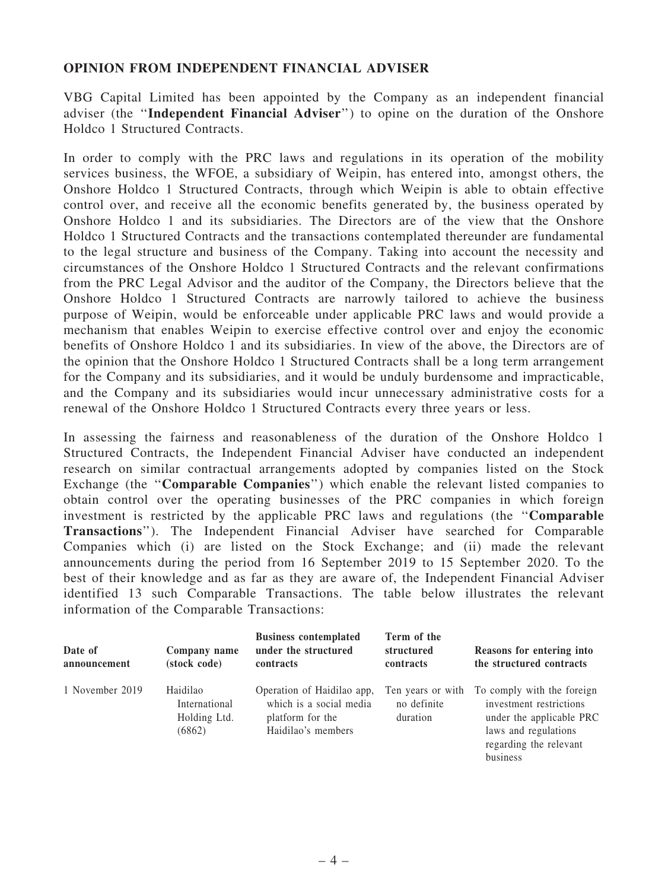#### OPINION FROM INDEPENDENT FINANCIAL ADVISER

VBG Capital Limited has been appointed by the Company as an independent financial adviser (the ''Independent Financial Adviser'') to opine on the duration of the Onshore Holdco 1 Structured Contracts.

In order to comply with the PRC laws and regulations in its operation of the mobility services business, the WFOE, a subsidiary of Weipin, has entered into, amongst others, the Onshore Holdco 1 Structured Contracts, through which Weipin is able to obtain effective control over, and receive all the economic benefits generated by, the business operated by Onshore Holdco 1 and its subsidiaries. The Directors are of the view that the Onshore Holdco 1 Structured Contracts and the transactions contemplated thereunder are fundamental to the legal structure and business of the Company. Taking into account the necessity and circumstances of the Onshore Holdco 1 Structured Contracts and the relevant confirmations from the PRC Legal Advisor and the auditor of the Company, the Directors believe that the Onshore Holdco 1 Structured Contracts are narrowly tailored to achieve the business purpose of Weipin, would be enforceable under applicable PRC laws and would provide a mechanism that enables Weipin to exercise effective control over and enjoy the economic benefits of Onshore Holdco 1 and its subsidiaries. In view of the above, the Directors are of the opinion that the Onshore Holdco 1 Structured Contracts shall be a long term arrangement for the Company and its subsidiaries, and it would be unduly burdensome and impracticable, and the Company and its subsidiaries would incur unnecessary administrative costs for a renewal of the Onshore Holdco 1 Structured Contracts every three years or less.

In assessing the fairness and reasonableness of the duration of the Onshore Holdco 1 Structured Contracts, the Independent Financial Adviser have conducted an independent research on similar contractual arrangements adopted by companies listed on the Stock Exchange (the "Comparable Companies") which enable the relevant listed companies to obtain control over the operating businesses of the PRC companies in which foreign investment is restricted by the applicable PRC laws and regulations (the ''Comparable Transactions''). The Independent Financial Adviser have searched for Comparable Companies which (i) are listed on the Stock Exchange; and (ii) made the relevant announcements during the period from 16 September 2019 to 15 September 2020. To the best of their knowledge and as far as they are aware of, the Independent Financial Adviser identified 13 such Comparable Transactions. The table below illustrates the relevant information of the Comparable Transactions:

| Date of<br>announcement | Company name<br>(stock code)                        | <b>Business contemplated</b><br>under the structured<br><b>contracts</b>                        | Term of the<br>structured<br>contracts       | Reasons for entering into<br>the structured contracts                                                                                           |
|-------------------------|-----------------------------------------------------|-------------------------------------------------------------------------------------------------|----------------------------------------------|-------------------------------------------------------------------------------------------------------------------------------------------------|
| 1 November 2019         | Haidilao<br>International<br>Holding Ltd.<br>(6862) | Operation of Haidilao app,<br>which is a social media<br>platform for the<br>Haidilao's members | Ten years or with<br>no definite<br>duration | To comply with the foreign<br>investment restrictions<br>under the applicable PRC<br>laws and regulations<br>regarding the relevant<br>business |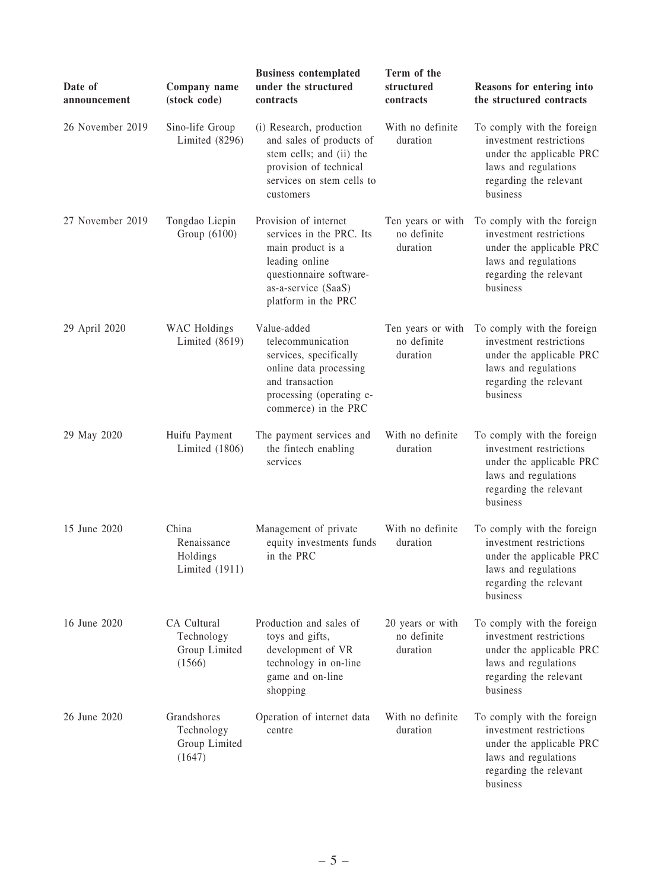| Date of<br>announcement | Company name<br>(stock code)                         | <b>Business contemplated</b><br>under the structured<br>contracts                                                                                                 | Term of the<br>structured<br>contracts       | Reasons for entering into<br>the structured contracts                                                                                           |
|-------------------------|------------------------------------------------------|-------------------------------------------------------------------------------------------------------------------------------------------------------------------|----------------------------------------------|-------------------------------------------------------------------------------------------------------------------------------------------------|
| 26 November 2019        | Sino-life Group<br>Limited (8296)                    | (i) Research, production<br>and sales of products of<br>stem cells; and (ii) the<br>provision of technical<br>services on stem cells to<br>customers              | With no definite<br>duration                 | To comply with the foreign<br>investment restrictions<br>under the applicable PRC<br>laws and regulations<br>regarding the relevant<br>business |
| 27 November 2019        | Tongdao Liepin<br>Group (6100)                       | Provision of internet<br>services in the PRC. Its<br>main product is a<br>leading online<br>questionnaire software-<br>as-a-service (SaaS)<br>platform in the PRC | Ten years or with<br>no definite<br>duration | To comply with the foreign<br>investment restrictions<br>under the applicable PRC<br>laws and regulations<br>regarding the relevant<br>business |
| 29 April 2020           | <b>WAC</b> Holdings<br>Limited $(8619)$              | Value-added<br>telecommunication<br>services, specifically<br>online data processing<br>and transaction<br>processing (operating e-<br>commerce) in the PRC       | Ten years or with<br>no definite<br>duration | To comply with the foreign<br>investment restrictions<br>under the applicable PRC<br>laws and regulations<br>regarding the relevant<br>business |
| 29 May 2020             | Huifu Payment<br>Limited (1806)                      | The payment services and<br>the fintech enabling<br>services                                                                                                      | With no definite<br>duration                 | To comply with the foreign<br>investment restrictions<br>under the applicable PRC<br>laws and regulations<br>regarding the relevant<br>business |
| 15 June 2020            | China<br>Renaissance<br>Holdings<br>Limited $(1911)$ | Management of private<br>equity investments funds<br>in the PRC                                                                                                   | With no definite<br>duration                 | To comply with the foreign<br>investment restrictions<br>under the applicable PRC<br>laws and regulations<br>regarding the relevant<br>business |
| 16 June 2020            | CA Cultural<br>Technology<br>Group Limited<br>(1566) | Production and sales of<br>toys and gifts,<br>development of VR<br>technology in on-line<br>game and on-line<br>shopping                                          | 20 years or with<br>no definite<br>duration  | To comply with the foreign<br>investment restrictions<br>under the applicable PRC<br>laws and regulations<br>regarding the relevant<br>business |
| 26 June 2020            | Grandshores<br>Technology<br>Group Limited<br>(1647) | Operation of internet data<br>centre                                                                                                                              | With no definite<br>duration                 | To comply with the foreign<br>investment restrictions<br>under the applicable PRC<br>laws and regulations<br>regarding the relevant<br>business |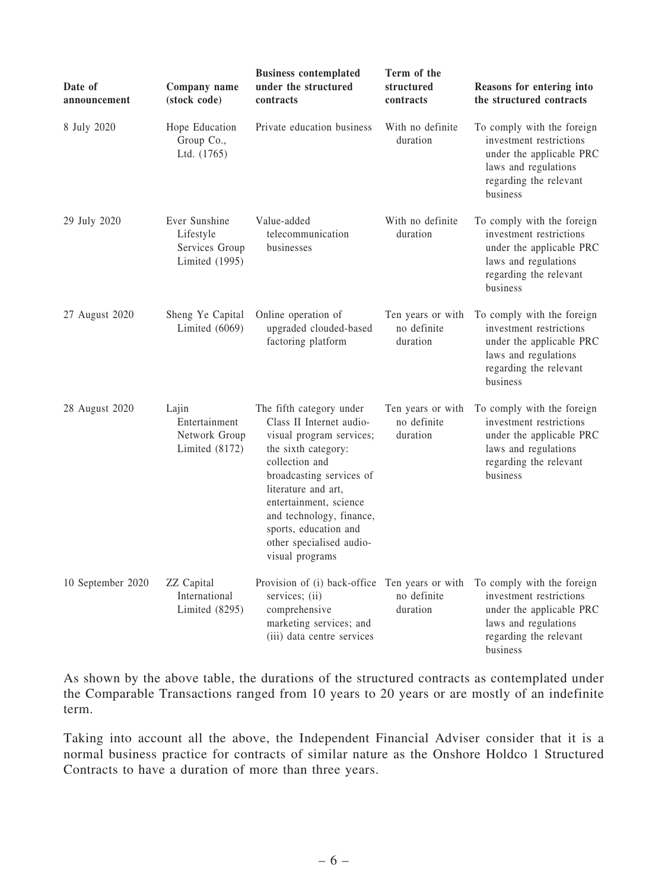| Date of<br>announcement | Company name<br>(stock code)                                   | <b>Business contemplated</b><br>under the structured<br>contracts                                                                                                                                                                                                                                          | Term of the<br>structured<br>contracts       | Reasons for entering into<br>the structured contracts                                                                                           |
|-------------------------|----------------------------------------------------------------|------------------------------------------------------------------------------------------------------------------------------------------------------------------------------------------------------------------------------------------------------------------------------------------------------------|----------------------------------------------|-------------------------------------------------------------------------------------------------------------------------------------------------|
| 8 July 2020             | Hope Education<br>Group Co.,<br>Ltd. (1765)                    | Private education business                                                                                                                                                                                                                                                                                 | With no definite<br>duration                 | To comply with the foreign<br>investment restrictions<br>under the applicable PRC<br>laws and regulations<br>regarding the relevant<br>business |
| 29 July 2020            | Ever Sunshine<br>Lifestyle<br>Services Group<br>Limited (1995) | Value-added<br>telecommunication<br>businesses                                                                                                                                                                                                                                                             | With no definite<br>duration                 | To comply with the foreign<br>investment restrictions<br>under the applicable PRC<br>laws and regulations<br>regarding the relevant<br>business |
| 27 August 2020          | Sheng Ye Capital<br>Limited $(6069)$                           | Online operation of<br>upgraded clouded-based<br>factoring platform                                                                                                                                                                                                                                        | Ten years or with<br>no definite<br>duration | To comply with the foreign<br>investment restrictions<br>under the applicable PRC<br>laws and regulations<br>regarding the relevant<br>business |
| 28 August 2020          | Lajin<br>Entertainment<br>Network Group<br>Limited $(8172)$    | The fifth category under<br>Class II Internet audio-<br>visual program services;<br>the sixth category:<br>collection and<br>broadcasting services of<br>literature and art,<br>entertainment, science<br>and technology, finance,<br>sports, education and<br>other specialised audio-<br>visual programs | Ten years or with<br>no definite<br>duration | To comply with the foreign<br>investment restrictions<br>under the applicable PRC<br>laws and regulations<br>regarding the relevant<br>business |
| 10 September 2020       | ZZ Capital<br>International<br>Limited (8295)                  | Provision of (i) back-office Ten years or with<br>services; (ii)<br>comprehensive<br>marketing services; and<br>(iii) data centre services                                                                                                                                                                 | no definite<br>duration                      | To comply with the foreign<br>investment restrictions<br>under the applicable PRC<br>laws and regulations<br>regarding the relevant<br>business |

As shown by the above table, the durations of the structured contracts as contemplated under the Comparable Transactions ranged from 10 years to 20 years or are mostly of an indefinite term.

Taking into account all the above, the Independent Financial Adviser consider that it is a normal business practice for contracts of similar nature as the Onshore Holdco 1 Structured Contracts to have a duration of more than three years.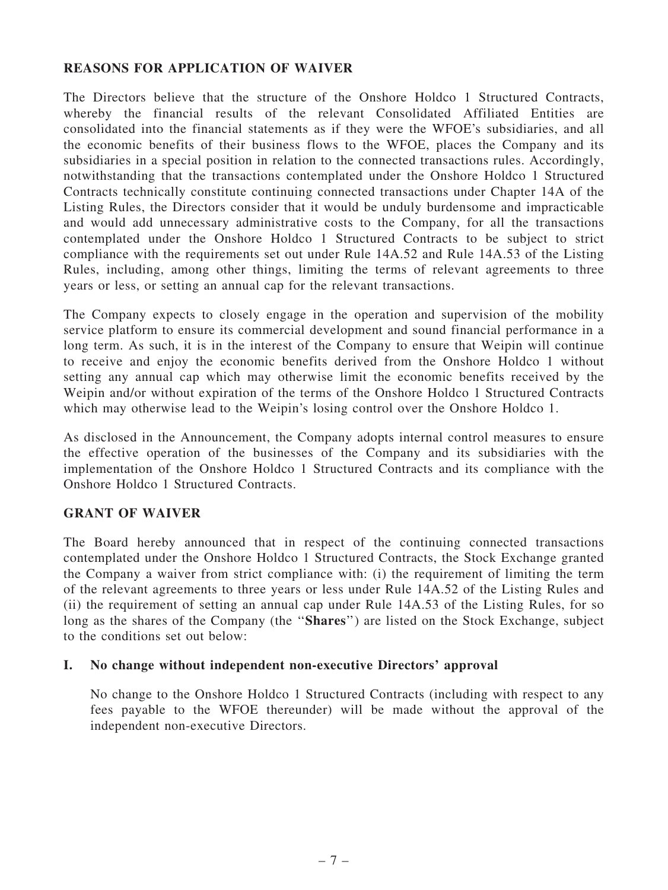### REASONS FOR APPLICATION OF WAIVER

The Directors believe that the structure of the Onshore Holdco 1 Structured Contracts, whereby the financial results of the relevant Consolidated Affiliated Entities are consolidated into the financial statements as if they were the WFOE's subsidiaries, and all the economic benefits of their business flows to the WFOE, places the Company and its subsidiaries in a special position in relation to the connected transactions rules. Accordingly, notwithstanding that the transactions contemplated under the Onshore Holdco 1 Structured Contracts technically constitute continuing connected transactions under Chapter 14A of the Listing Rules, the Directors consider that it would be unduly burdensome and impracticable and would add unnecessary administrative costs to the Company, for all the transactions contemplated under the Onshore Holdco 1 Structured Contracts to be subject to strict compliance with the requirements set out under Rule 14A.52 and Rule 14A.53 of the Listing Rules, including, among other things, limiting the terms of relevant agreements to three years or less, or setting an annual cap for the relevant transactions.

The Company expects to closely engage in the operation and supervision of the mobility service platform to ensure its commercial development and sound financial performance in a long term. As such, it is in the interest of the Company to ensure that Weipin will continue to receive and enjoy the economic benefits derived from the Onshore Holdco 1 without setting any annual cap which may otherwise limit the economic benefits received by the Weipin and/or without expiration of the terms of the Onshore Holdco 1 Structured Contracts which may otherwise lead to the Weipin's losing control over the Onshore Holdco 1.

As disclosed in the Announcement, the Company adopts internal control measures to ensure the effective operation of the businesses of the Company and its subsidiaries with the implementation of the Onshore Holdco 1 Structured Contracts and its compliance with the Onshore Holdco 1 Structured Contracts.

# GRANT OF WAIVER

The Board hereby announced that in respect of the continuing connected transactions contemplated under the Onshore Holdco 1 Structured Contracts, the Stock Exchange granted the Company a waiver from strict compliance with: (i) the requirement of limiting the term of the relevant agreements to three years or less under Rule 14A.52 of the Listing Rules and (ii) the requirement of setting an annual cap under Rule 14A.53 of the Listing Rules, for so long as the shares of the Company (the "Shares") are listed on the Stock Exchange, subject to the conditions set out below:

#### I. No change without independent non-executive Directors' approval

No change to the Onshore Holdco 1 Structured Contracts (including with respect to any fees payable to the WFOE thereunder) will be made without the approval of the independent non-executive Directors.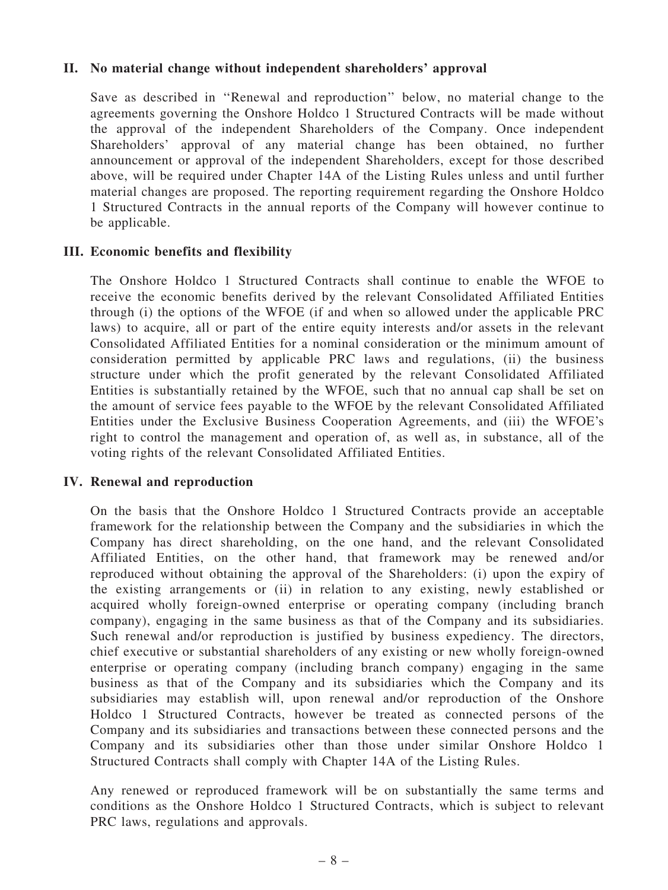### II. No material change without independent shareholders' approval

Save as described in ''Renewal and reproduction'' below, no material change to the agreements governing the Onshore Holdco 1 Structured Contracts will be made without the approval of the independent Shareholders of the Company. Once independent Shareholders' approval of any material change has been obtained, no further announcement or approval of the independent Shareholders, except for those described above, will be required under Chapter 14A of the Listing Rules unless and until further material changes are proposed. The reporting requirement regarding the Onshore Holdco 1 Structured Contracts in the annual reports of the Company will however continue to be applicable.

#### III. Economic benefits and flexibility

The Onshore Holdco 1 Structured Contracts shall continue to enable the WFOE to receive the economic benefits derived by the relevant Consolidated Affiliated Entities through (i) the options of the WFOE (if and when so allowed under the applicable PRC laws) to acquire, all or part of the entire equity interests and/or assets in the relevant Consolidated Affiliated Entities for a nominal consideration or the minimum amount of consideration permitted by applicable PRC laws and regulations, (ii) the business structure under which the profit generated by the relevant Consolidated Affiliated Entities is substantially retained by the WFOE, such that no annual cap shall be set on the amount of service fees payable to the WFOE by the relevant Consolidated Affiliated Entities under the Exclusive Business Cooperation Agreements, and (iii) the WFOE's right to control the management and operation of, as well as, in substance, all of the voting rights of the relevant Consolidated Affiliated Entities.

#### IV. Renewal and reproduction

On the basis that the Onshore Holdco 1 Structured Contracts provide an acceptable framework for the relationship between the Company and the subsidiaries in which the Company has direct shareholding, on the one hand, and the relevant Consolidated Affiliated Entities, on the other hand, that framework may be renewed and/or reproduced without obtaining the approval of the Shareholders: (i) upon the expiry of the existing arrangements or (ii) in relation to any existing, newly established or acquired wholly foreign-owned enterprise or operating company (including branch company), engaging in the same business as that of the Company and its subsidiaries. Such renewal and/or reproduction is justified by business expediency. The directors, chief executive or substantial shareholders of any existing or new wholly foreign-owned enterprise or operating company (including branch company) engaging in the same business as that of the Company and its subsidiaries which the Company and its subsidiaries may establish will, upon renewal and/or reproduction of the Onshore Holdco 1 Structured Contracts, however be treated as connected persons of the Company and its subsidiaries and transactions between these connected persons and the Company and its subsidiaries other than those under similar Onshore Holdco 1 Structured Contracts shall comply with Chapter 14A of the Listing Rules.

Any renewed or reproduced framework will be on substantially the same terms and conditions as the Onshore Holdco 1 Structured Contracts, which is subject to relevant PRC laws, regulations and approvals.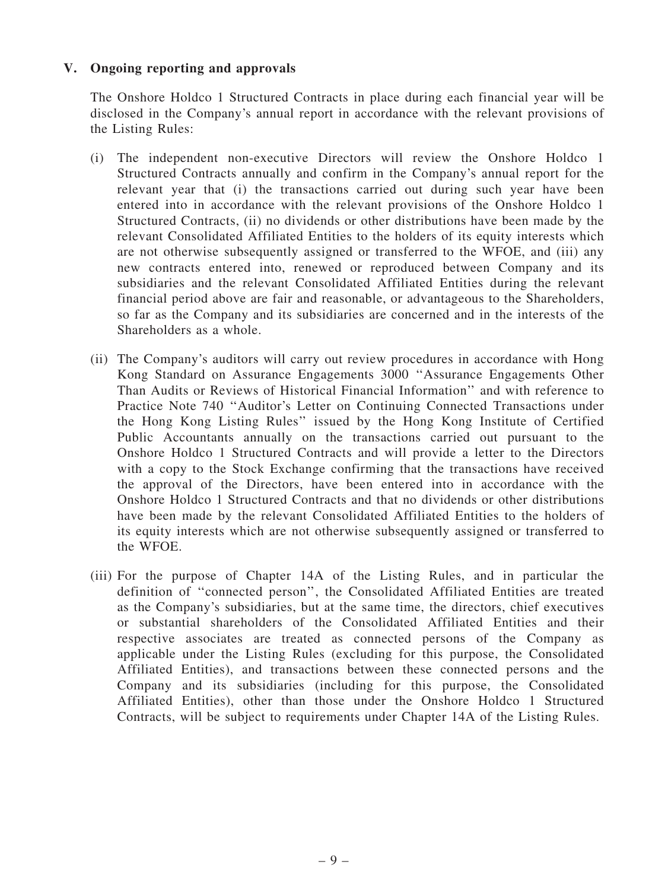### V. Ongoing reporting and approvals

The Onshore Holdco 1 Structured Contracts in place during each financial year will be disclosed in the Company's annual report in accordance with the relevant provisions of the Listing Rules:

- (i) The independent non-executive Directors will review the Onshore Holdco 1 Structured Contracts annually and confirm in the Company's annual report for the relevant year that (i) the transactions carried out during such year have been entered into in accordance with the relevant provisions of the Onshore Holdco 1 Structured Contracts, (ii) no dividends or other distributions have been made by the relevant Consolidated Affiliated Entities to the holders of its equity interests which are not otherwise subsequently assigned or transferred to the WFOE, and (iii) any new contracts entered into, renewed or reproduced between Company and its subsidiaries and the relevant Consolidated Affiliated Entities during the relevant financial period above are fair and reasonable, or advantageous to the Shareholders, so far as the Company and its subsidiaries are concerned and in the interests of the Shareholders as a whole.
- (ii) The Company's auditors will carry out review procedures in accordance with Hong Kong Standard on Assurance Engagements 3000 ''Assurance Engagements Other Than Audits or Reviews of Historical Financial Information'' and with reference to Practice Note 740 ''Auditor's Letter on Continuing Connected Transactions under the Hong Kong Listing Rules'' issued by the Hong Kong Institute of Certified Public Accountants annually on the transactions carried out pursuant to the Onshore Holdco 1 Structured Contracts and will provide a letter to the Directors with a copy to the Stock Exchange confirming that the transactions have received the approval of the Directors, have been entered into in accordance with the Onshore Holdco 1 Structured Contracts and that no dividends or other distributions have been made by the relevant Consolidated Affiliated Entities to the holders of its equity interests which are not otherwise subsequently assigned or transferred to the WFOE.
- (iii) For the purpose of Chapter 14A of the Listing Rules, and in particular the definition of ''connected person'', the Consolidated Affiliated Entities are treated as the Company's subsidiaries, but at the same time, the directors, chief executives or substantial shareholders of the Consolidated Affiliated Entities and their respective associates are treated as connected persons of the Company as applicable under the Listing Rules (excluding for this purpose, the Consolidated Affiliated Entities), and transactions between these connected persons and the Company and its subsidiaries (including for this purpose, the Consolidated Affiliated Entities), other than those under the Onshore Holdco 1 Structured Contracts, will be subject to requirements under Chapter 14A of the Listing Rules.